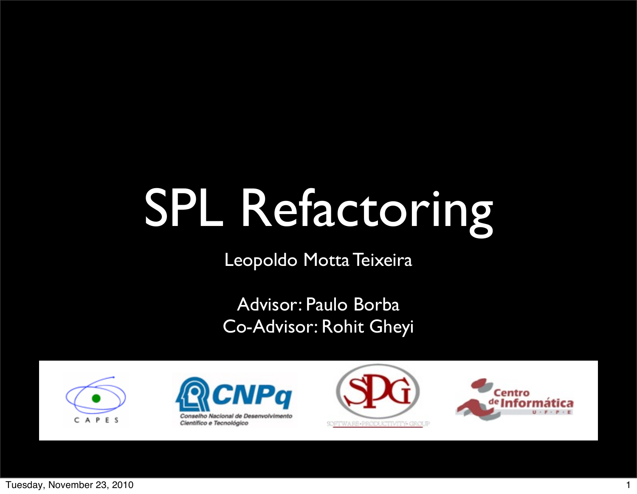# SPL Refactoring

Leopoldo Motta Teixeira

Advisor: Paulo Borba Co-Advisor: Rohit Gheyi







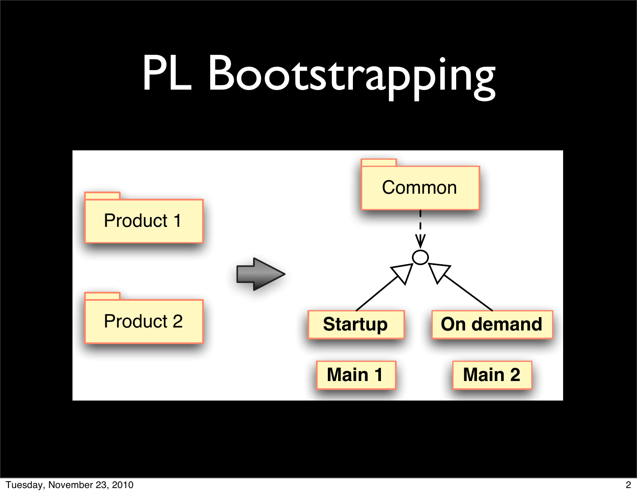#### PL Bootstrapping

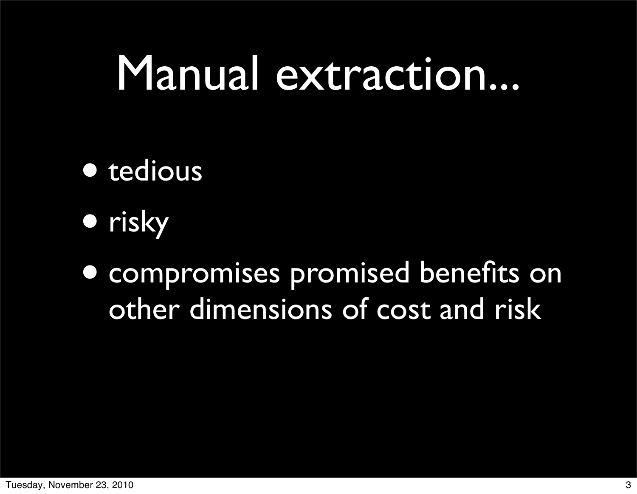#### Manual extraction...

- tedious
- risky

• compromises promised benefits on other dimensions of cost and risk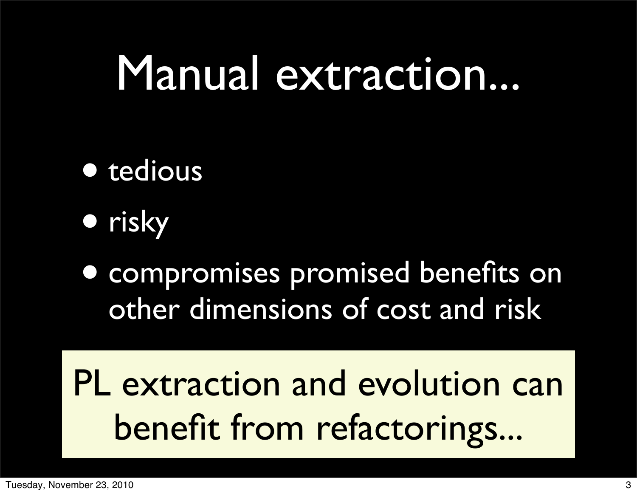#### Manual extraction...

- tedious
- risky
- compromises promised benefits on other dimensions of cost and risk

PL extraction and evolution can benefit from refactorings...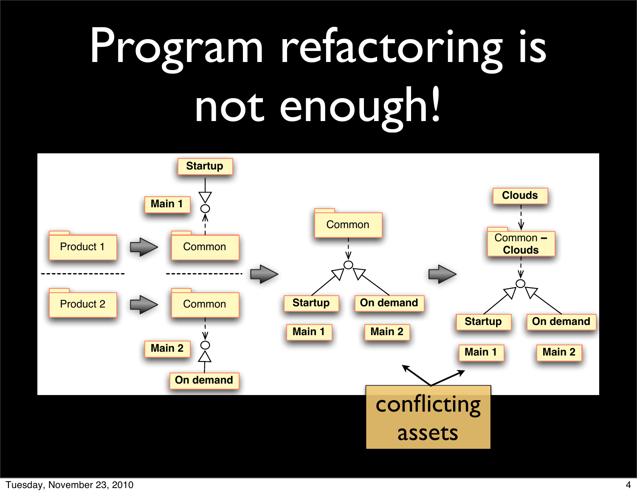## Program refactoring is not enough!

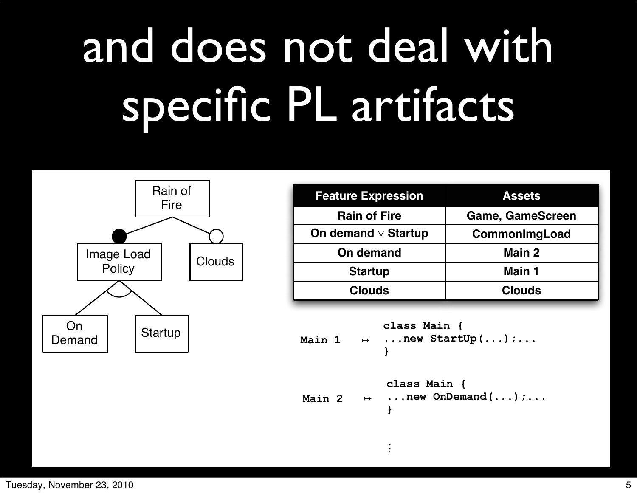## and does not deal with specific PL artifacts



| <b>Feature Expression</b> | <b>Assets</b>           |
|---------------------------|-------------------------|
| <b>Rain of Fire</b>       | <b>Game, GameScreen</b> |
| On demand $\vee$ Startup  | CommonImgLoad           |
| On demand                 | Main 2                  |
| <b>Startup</b>            | Main 1                  |
| <b>Clouds</b>             | <b>Clouds</b>           |

```
class Main { 
            ...new StartUp(...);... 
              } 
Main 1 ↦
```

```
class Main { 
              ...new OnDemand(...);...
              } 
Main 2 \mapsto
```
. . .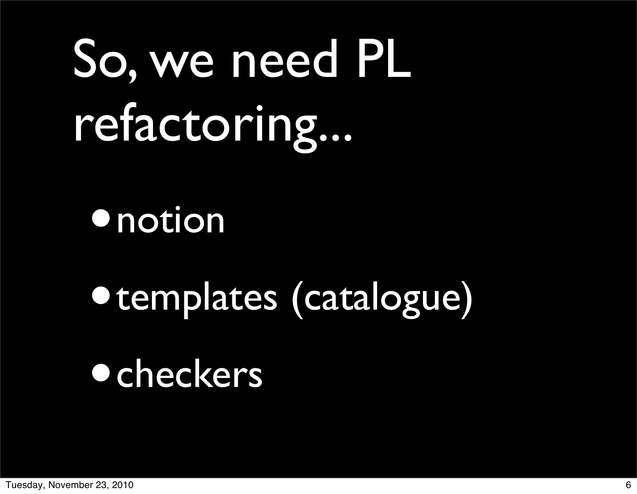# So, we need PL refactoring...

#### **•** notion

## •templates (catalogue) •checkers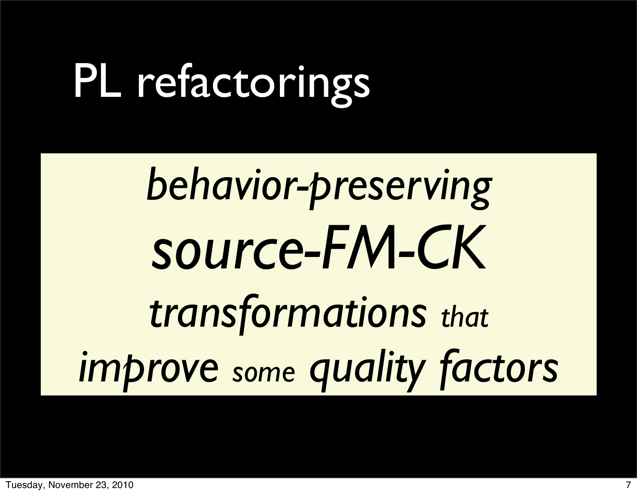### PL refactorings

# *behavior-preserving source-FM-CK transformations that improve some quality factors*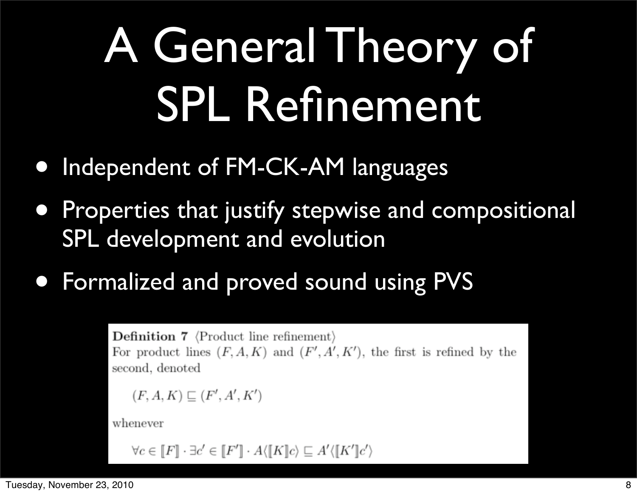## A General Theory of SPL Refinement

- Independent of FM-CK-AM languages
- Properties that justify stepwise and compositional SPL development and evolution
- Formalized and proved sound using PVS

**Definition 7**  $\langle$  Product line refinement $\rangle$ For product lines  $(F, A, K)$  and  $(F', A', K')$ , the first is refined by the second, denoted  $(F, A, K) \sqsubseteq (F', A', K')$ 

whenever

 $\forall c \in \llbracket F \rrbracket \cdot \exists c' \in \llbracket F' \rrbracket \cdot A \langle \llbracket K \rrbracket c \rangle \sqsubseteq A' \langle \llbracket K' \rrbracket c' \rangle$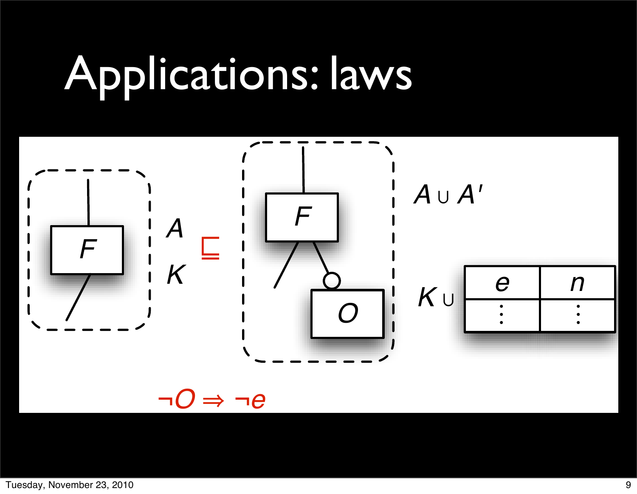#### Applications: laws

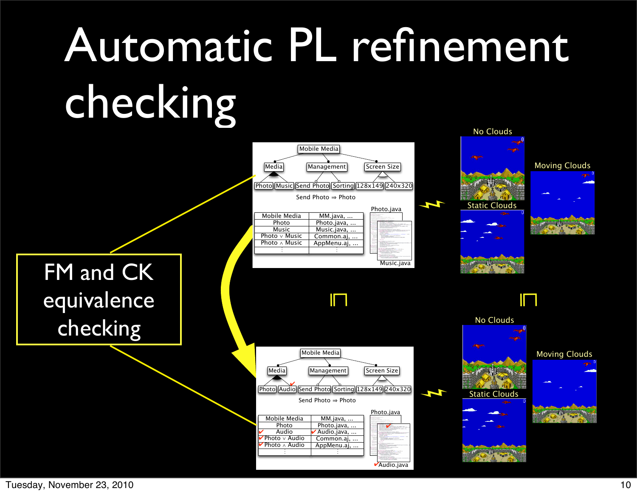#### Automatic PL refinement checking No Clouds



Tuesday, November 23, 2010 10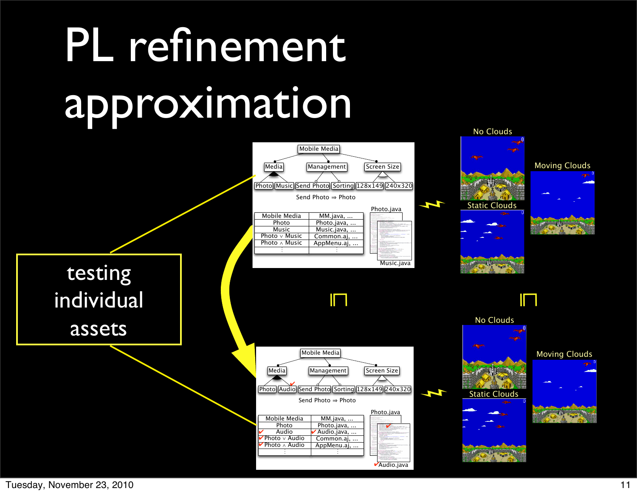## PL refinement approximation



Tuesday, November 23, 2010 11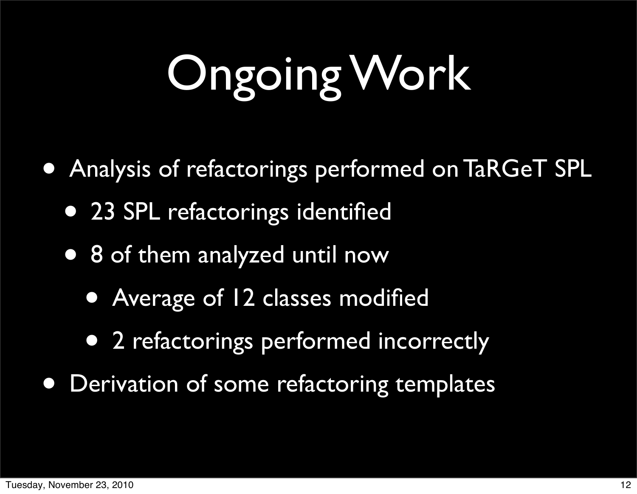# Ongoing Work

- Analysis of refactorings performed on TaRGeT SPL
	- 23 SPL refactorings identified
	- 8 of them analyzed until now
		- Average of 12 classes modified
		- 2 refactorings performed incorrectly
- **Derivation of some refactoring templates**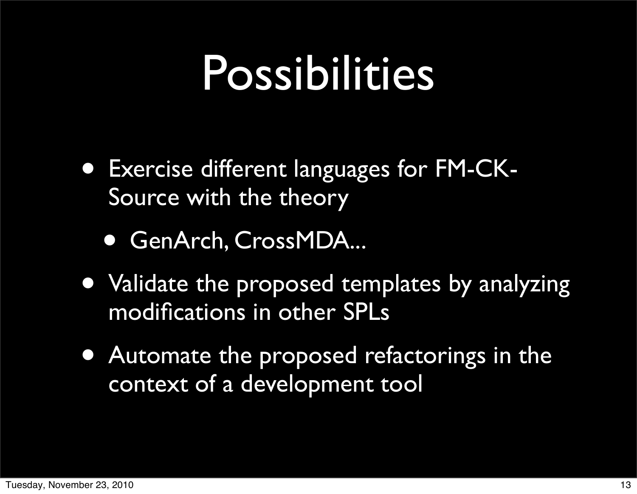#### Possibilities

- Exercise different languages for FM-CK-Source with the theory
	- GenArch, CrossMDA...
- Validate the proposed templates by analyzing modifications in other SPLs
- Automate the proposed refactorings in the context of a development tool